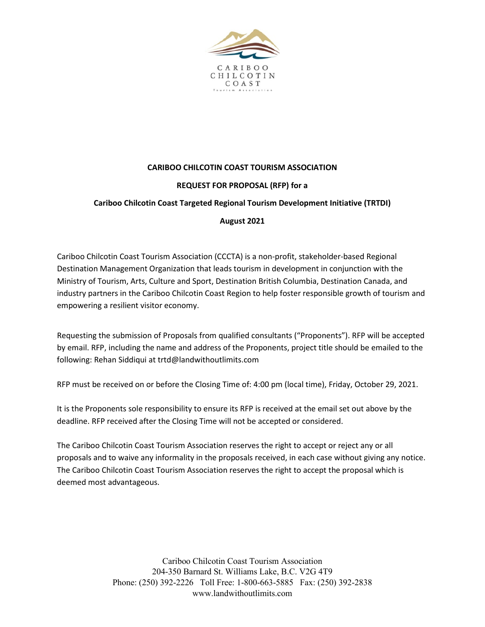

# **CARIBOO CHILCOTIN COAST TOURISM ASSOCIATION REQUEST FOR PROPOSAL (RFP) for a Cariboo Chilcotin Coast Targeted Regional Tourism Development Initiative (TRTDI)**

# **August 2021**

Cariboo Chilcotin Coast Tourism Association (CCCTA) is a non-profit, stakeholder-based Regional Destination Management Organization that leads tourism in development in conjunction with the Ministry of Tourism, Arts, Culture and Sport, Destination British Columbia, Destination Canada, and industry partners in the Cariboo Chilcotin Coast Region to help foster responsible growth of tourism and empowering a resilient visitor economy.

Requesting the submission of Proposals from qualified consultants ("Proponents"). RFP will be accepted by email. RFP, including the name and address of the Proponents, project title should be emailed to the following: Rehan Siddiqui at trtd@landwithoutlimits.com

RFP must be received on or before the Closing Time of: 4:00 pm (local time), Friday, October 29, 2021.

It is the Proponents sole responsibility to ensure its RFP is received at the email set out above by the deadline. RFP received after the Closing Time will not be accepted or considered.

The Cariboo Chilcotin Coast Tourism Association reserves the right to accept or reject any or all proposals and to waive any informality in the proposals received, in each case without giving any notice. The Cariboo Chilcotin Coast Tourism Association reserves the right to accept the proposal which is deemed most advantageous.

> Cariboo Chilcotin Coast Tourism Association 204-350 Barnard St. Williams Lake, B.C. V2G 4T9 Phone: (250) 392-2226 Toll Free: 1-800-663-5885 Fax: (250) 392-2838 www.landwithoutlimits.com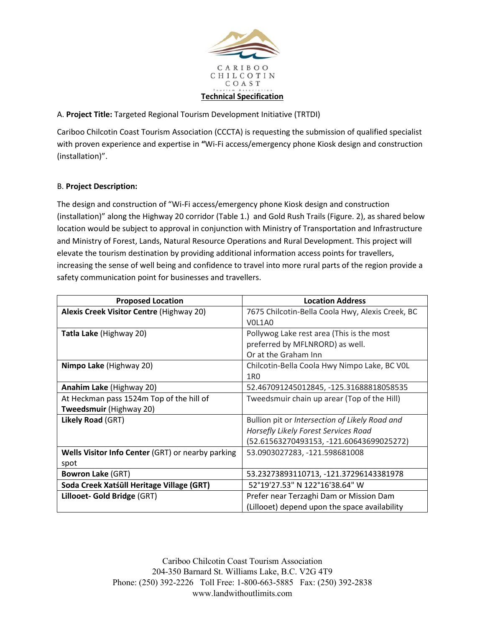

# A. **Project Title:** Targeted Regional Tourism Development Initiative (TRTDI)

Cariboo Chilcotin Coast Tourism Association (CCCTA) is requesting the submission of qualified specialist with proven experience and expertise in **"**Wi-Fi access/emergency phone Kiosk design and construction (installation)".

#### B. **Project Description:**

The design and construction of "Wi-Fi access/emergency phone Kiosk design and construction (installation)" along the Highway 20 corridor (Table 1.) and Gold Rush Trails (Figure. 2), as shared below location would be subject to approval in conjunction with Ministry of Transportation and Infrastructure and Ministry of Forest, Lands, Natural Resource Operations and Rural Development. This project will elevate the tourism destination by providing additional information access points for travellers, increasing the sense of well being and confidence to travel into more rural parts of the region provide a safety communication point for businesses and travellers.

| <b>Proposed Location</b>                                 | <b>Location Address</b>                          |
|----------------------------------------------------------|--------------------------------------------------|
| Alexis Creek Visitor Centre (Highway 20)                 | 7675 Chilcotin-Bella Coola Hwy, Alexis Creek, BC |
|                                                          | VOL1A0                                           |
| <b>Tatla Lake (Highway 20)</b>                           | Pollywog Lake rest area (This is the most        |
|                                                          | preferred by MFLNRORD) as well.                  |
|                                                          | Or at the Graham Inn                             |
| Nimpo Lake (Highway 20)                                  | Chilcotin-Bella Coola Hwy Nimpo Lake, BC VOL     |
|                                                          | 1R <sub>0</sub>                                  |
| Anahim Lake (Highway 20)                                 | 52.467091245012845, -125.31688818058535          |
| At Heckman pass 1524m Top of the hill of                 | Tweedsmuir chain up arear (Top of the Hill)      |
| Tweedsmuir (Highway 20)                                  |                                                  |
| Likely Road (GRT)                                        | Bullion pit or Intersection of Likely Road and   |
|                                                          | Horsefly Likely Forest Services Road             |
|                                                          | (52.61563270493153, -121.60643699025272)         |
| <b>Wells Visitor Info Center (GRT) or nearby parking</b> | 53.0903027283, -121.598681008                    |
| spot                                                     |                                                  |
| <b>Bowron Lake (GRT)</b>                                 | 53.23273893110713, -121.37296143381978           |
| Soda Creek Xatśūll Heritage Village (GRT)                | 52°19'27.53" N 122°16'38.64" W                   |
| Lillooet- Gold Bridge (GRT)                              | Prefer near Terzaghi Dam or Mission Dam          |
|                                                          | (Lillooet) depend upon the space availability    |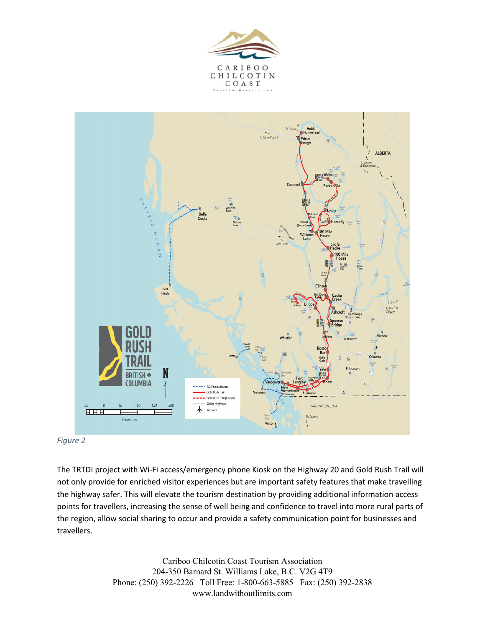





The TRTDI project with Wi-Fi access/emergency phone Kiosk on the Highway 20 and Gold Rush Trail will not only provide for enriched visitor experiences but are important safety features that make travelling the highway safer. This will elevate the tourism destination by providing additional information access points for travellers, increasing the sense of well being and confidence to travel into more rural parts of the region, allow social sharing to occur and provide a safety communication point for businesses and travellers.

> Cariboo Chilcotin Coast Tourism Association 204-350 Barnard St. Williams Lake, B.C. V2G 4T9 Phone: (250) 392-2226 Toll Free: 1-800-663-5885 Fax: (250) 392-2838 www.landwithoutlimits.com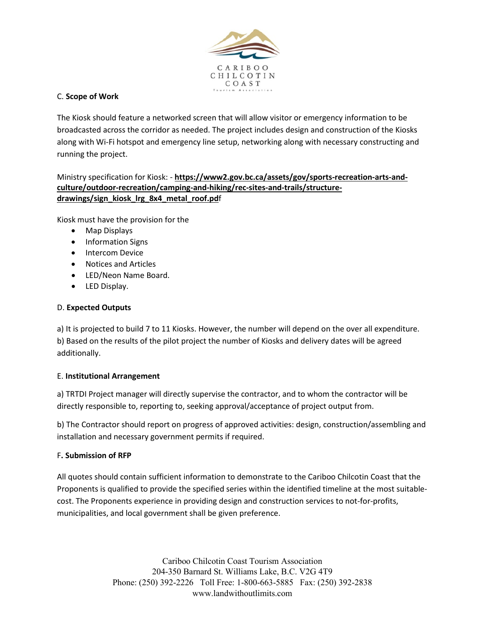

# C. **Scope of Work**

The Kiosk should feature a networked screen that will allow visitor or emergency information to be broadcasted across the corridor as needed. The project includes design and construction of the Kiosks along with Wi-Fi hotspot and emergency line setup, networking along with necessary constructing and running the project.

# Ministry specification for Kiosk: - **https://www2.gov.bc.ca/assets/gov/sports-recreation-arts-andculture/outdoor-recreation/camping-and-hiking/rec-sites-and-trails/structuredrawings/sign\_kiosk\_lrg\_8x4\_metal\_roof.pd**f

Kiosk must have the provision for the

- Map Displays
- Information Signs
- Intercom Device
- Notices and Articles
- LED/Neon Name Board.
- LED Display.

#### D. **Expected Outputs**

a) It is projected to build 7 to 11 Kiosks. However, the number will depend on the over all expenditure. b) Based on the results of the pilot project the number of Kiosks and delivery dates will be agreed additionally.

# E. **Institutional Arrangement**

a) TRTDI Project manager will directly supervise the contractor, and to whom the contractor will be directly responsible to, reporting to, seeking approval/acceptance of project output from.

b) The Contractor should report on progress of approved activities: design, construction/assembling and installation and necessary government permits if required.

# F**. Submission of RFP**

All quotes should contain sufficient information to demonstrate to the Cariboo Chilcotin Coast that the Proponents is qualified to provide the specified series within the identified timeline at the most suitablecost. The Proponents experience in providing design and construction services to not-for-profits, municipalities, and local government shall be given preference.

> Cariboo Chilcotin Coast Tourism Association 204-350 Barnard St. Williams Lake, B.C. V2G 4T9 Phone: (250) 392-2226 Toll Free: 1-800-663-5885 Fax: (250) 392-2838 www.landwithoutlimits.com